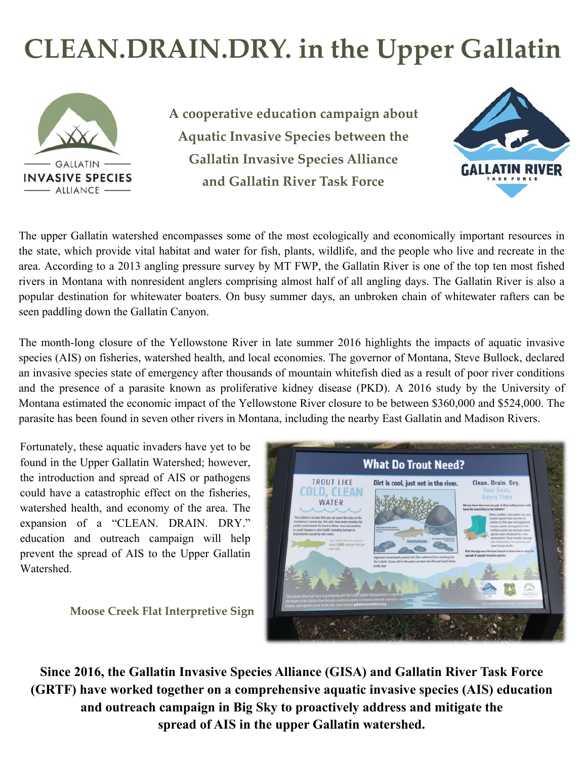# **CLEAN.DRAIN.DRY. in the Upper Gallatin**



**A cooperative education campaign about Aquatic Invasive Species between the Gallatin Invasive Species Alliance and Gallatin River Task Force** 



The upper Gallatin watershed encompasses some of the most ecologically and economically important resources in the state, which provide vital habitat and water for fish, plants, wildlife, and the people who live and recreate in the area. According to a 2013 angling pressure survey by MT FWP, the Gallatin River is one of the top ten most fished rivers in Montana with nonresident anglers comprising almost half of all angling days. The Gallatin River is also a popular destination for whitewater boaters. On busy summer days, an unbroken chain of whitewater rafters can be seen paddling down the Gallatin Canyon.

The month-long closure of the Yellowstone River in late summer 2016 highlights the impacts of aquatic invasive species (AIS) on fisheries, watershed health, and local economies. The governor of Montana, Steve Bullock, declared an invasive species state of emergency after thousands of mountain whitefish died as a result of poor river conditions and the presence of a parasite known as proliferative kidney disease (PKD). A 2016 study by the University of Montana estimated the economic impact of the Yellowstone River closure to be between \$360,000 and \$524,000. The parasite has been found in seven other rivers in Montana, including the nearby East Gallatin and Madison Rivers.

Fortunately, these aquatic invaders have yet to be found in the Upper Gallatin Watershed; however, the introduction and spread of AIS or pathogens could have a catastrophic effect on the fisheries, watershed health, and economy of the area. The expansion of a "CLEAN. DRAIN. DRY." education and outreach campaign will help prevent the spread of AIS to the Upper Gallatin Watershed.

**Moose Creek Flat Interpretive Sign** 



**Since 2016, the Gallatin Invasive Species Alliance (GISA) and Gallatin River Task Force (GRTF) have worked together on a comprehensive aquatic invasive species (AIS) education and outreach campaign in Big Sky to proactively address and mitigate the spread of AIS in the upper Gallatin watershed.**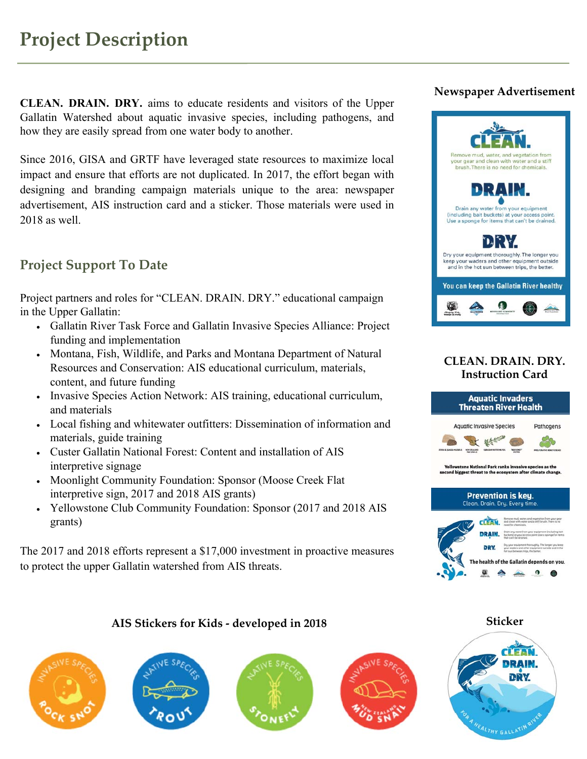**CLEAN. DRAIN. DRY.** aims to educate residents and visitors of the Upper Gallatin Watershed about aquatic invasive species, including pathogens, and how they are easily spread from one water body to another.

Since 2016, GISA and GRTF have leveraged state resources to maximize local impact and ensure that efforts are not duplicated. In 2017, the effort began with designing and branding campaign materials unique to the area: newspaper advertisement, AIS instruction card and a sticker. Those materials were used in 2018 as well.

### **Project Support To Date**

Project partners and roles for "CLEAN. DRAIN. DRY." educational campaign in the Upper Gallatin:

- Gallatin River Task Force and Gallatin Invasive Species Alliance: Project funding and implementation
- Montana, Fish, Wildlife, and Parks and Montana Department of Natural Resources and Conservation: AIS educational curriculum, materials, content, and future funding
- Invasive Species Action Network: AIS training, educational curriculum, and materials
- Local fishing and whitewater outfitters: Dissemination of information and materials, guide training
- Custer Gallatin National Forest: Content and installation of AIS interpretive signage
- Moonlight Community Foundation: Sponsor (Moose Creek Flat) interpretive sign, 2017 and 2018 AIS grants)
- Yellowstone Club Community Foundation: Sponsor (2017 and 2018 AIS grants)

The 2017 and 2018 efforts represent a \$17,000 investment in proactive measures to protect the upper Gallatin watershed from AIS threats.

#### **Newspaper Advertisement**



#### **CLEAN. DRAIN. DRY. Instruction Card**



#### **AIS Stickers for Kids ‐ developed in 2018**









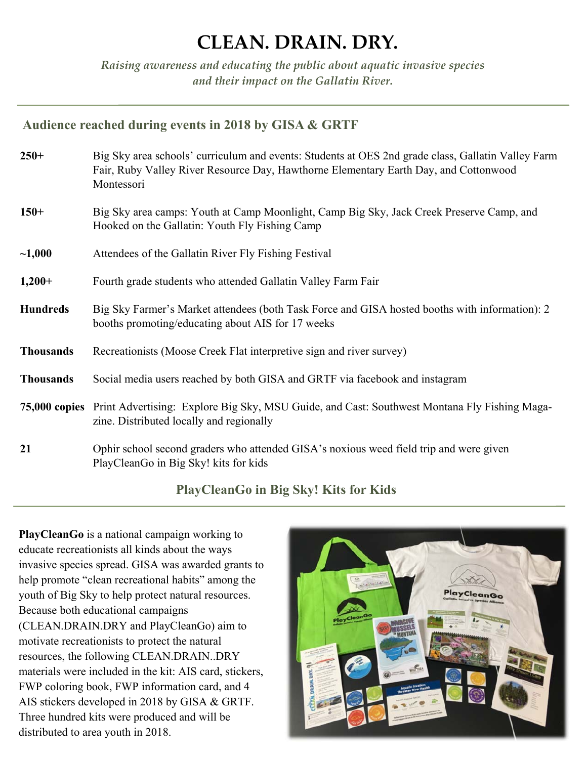### **CLEAN. DRAIN. DRY.**

*Raising awareness and educating the public about aquatic invasive species and their impact on the Gallatin River.* 

#### **Audience reached during events in 2018 by GISA & GRTF**

| $250+$           | Big Sky area schools' curriculum and events: Students at OES 2nd grade class, Gallatin Valley Farm<br>Fair, Ruby Valley River Resource Day, Hawthorne Elementary Earth Day, and Cottonwood<br>Montessori |
|------------------|----------------------------------------------------------------------------------------------------------------------------------------------------------------------------------------------------------|
| $150+$           | Big Sky area camps: Youth at Camp Moonlight, Camp Big Sky, Jack Creek Preserve Camp, and<br>Hooked on the Gallatin: Youth Fly Fishing Camp                                                               |
| ~1,000           | Attendees of the Gallatin River Fly Fishing Festival                                                                                                                                                     |
| $1,200+$         | Fourth grade students who attended Gallatin Valley Farm Fair                                                                                                                                             |
| <b>Hundreds</b>  | Big Sky Farmer's Market attendees (both Task Force and GISA hosted booths with information): 2<br>booths promoting/educating about AIS for 17 weeks                                                      |
| <b>Thousands</b> | Recreationists (Moose Creek Flat interpretive sign and river survey)                                                                                                                                     |
| <b>Thousands</b> | Social media users reached by both GISA and GRTF via facebook and instagram                                                                                                                              |
|                  | 75,000 copies Print Advertising: Explore Big Sky, MSU Guide, and Cast: Southwest Montana Fly Fishing Maga-<br>zine. Distributed locally and regionally                                                   |
| 21               | Ophir school second graders who attended GISA's noxious weed field trip and were given<br>PlayCleanGo in Big Sky! kits for kids                                                                          |

#### **PlayCleanGo in Big Sky! Kits for Kids**

**PlayCleanGo** is a national campaign working to educate recreationists all kinds about the ways invasive species spread. GISA was awarded grants to help promote "clean recreational habits" among the youth of Big Sky to help protect natural resources. Because both educational campaigns (CLEAN.DRAIN.DRY and PlayCleanGo) aim to motivate recreationists to protect the natural resources, the following CLEAN.DRAIN..DRY materials were included in the kit: AIS card, stickers, FWP coloring book, FWP information card, and 4 AIS stickers developed in 2018 by GISA & GRTF. Three hundred kits were produced and will be distributed to area youth in 2018.